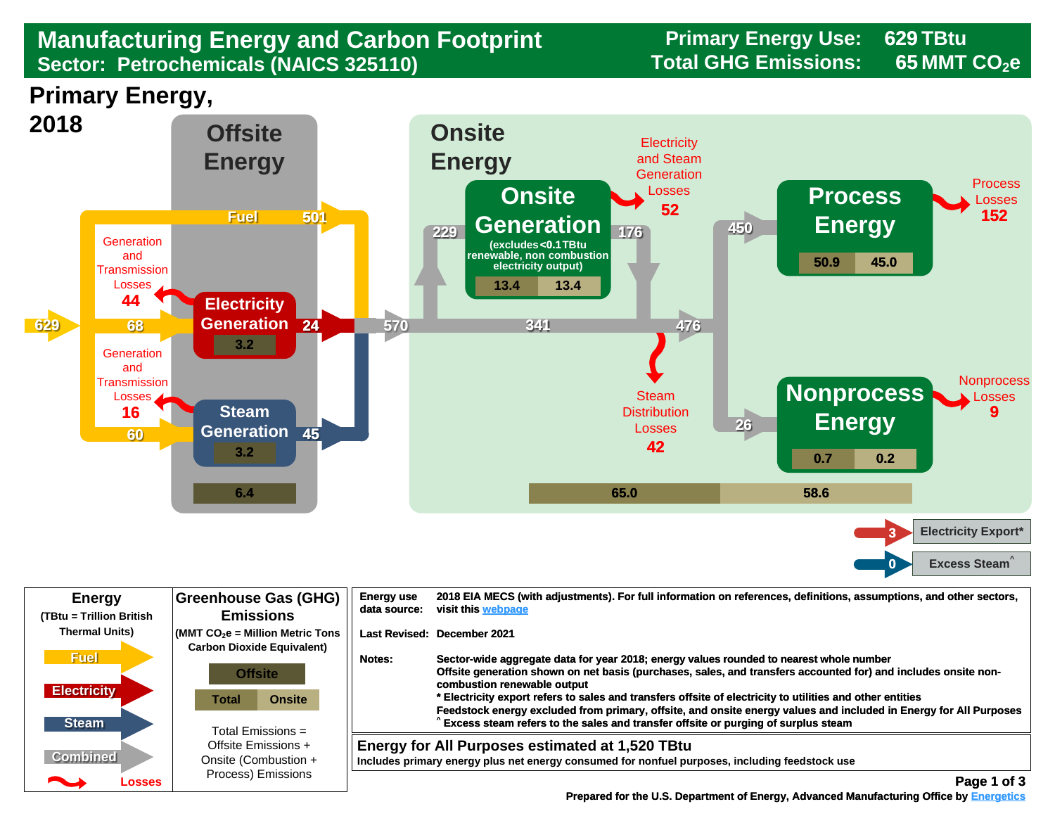## **Manufacturing Energy and Carbon Footprint Frimary Energy Use:** 6. The research Carbon Footprint Sector: Petrochemicals (NAICS 325110) **Sector: Petrochemicals (NAICS 325110)**

**629 65**

**Primary Energy,** 



| <b>Energy</b><br>(TBtu = Trillion British         | <b>Greenhouse Gas (GHG)</b><br><b>Emissions</b>                                                                                      | <b>Energy use</b><br>data source: | 2018 EIA MECS (with adjustments). For full information on references, definitions, assumptions, and other sectors,<br>visit this webpage                                                                                                                                                                                                                                                                                                                                                                                                                        |
|---------------------------------------------------|--------------------------------------------------------------------------------------------------------------------------------------|-----------------------------------|-----------------------------------------------------------------------------------------------------------------------------------------------------------------------------------------------------------------------------------------------------------------------------------------------------------------------------------------------------------------------------------------------------------------------------------------------------------------------------------------------------------------------------------------------------------------|
| <b>Thermal Units)</b>                             | $\sim$ (MMT CO $_2$ e = Million Metric Tons<br><b>Carbon Dioxide Equivalent)</b>                                                     |                                   | Last Revised: December 2021                                                                                                                                                                                                                                                                                                                                                                                                                                                                                                                                     |
| <b>Fuel</b><br><b>Electricity</b><br><b>Steam</b> | <b>Offsite</b><br><b>Onsite</b><br>Total<br>Total Emissions $=$<br>Offsite Emissions +<br>Onsite (Combustion +<br>Process) Emissions | Notes:                            | Sector-wide aggregate data for year 2018; energy values rounded to nearest whole number<br>Offsite generation shown on net basis (purchases, sales, and transfers accounted for) and includes onsite non-<br>combustion renewable output<br>* Electricity export refers to sales and transfers offsite of electricity to utilities and other entities<br>Feedstock energy excluded from primary, offsite, and onsite energy values and included in Energy for All Purposes<br>Excess steam refers to the sales and transfer offsite or purging of surplus steam |
| <b>Combined</b><br>Losses                         |                                                                                                                                      |                                   | Energy for All Purposes estimated at 1,520 TBtu<br>Includes primary energy plus net energy consumed for nonfuel purposes, including feedstock use<br>Page 1 of 3                                                                                                                                                                                                                                                                                                                                                                                                |

 **[Prepared for the U.S. Department of Energy, Advanced Manufacturing Office by Energetics](https://www.energetics.com/) Manufacturing Energetics**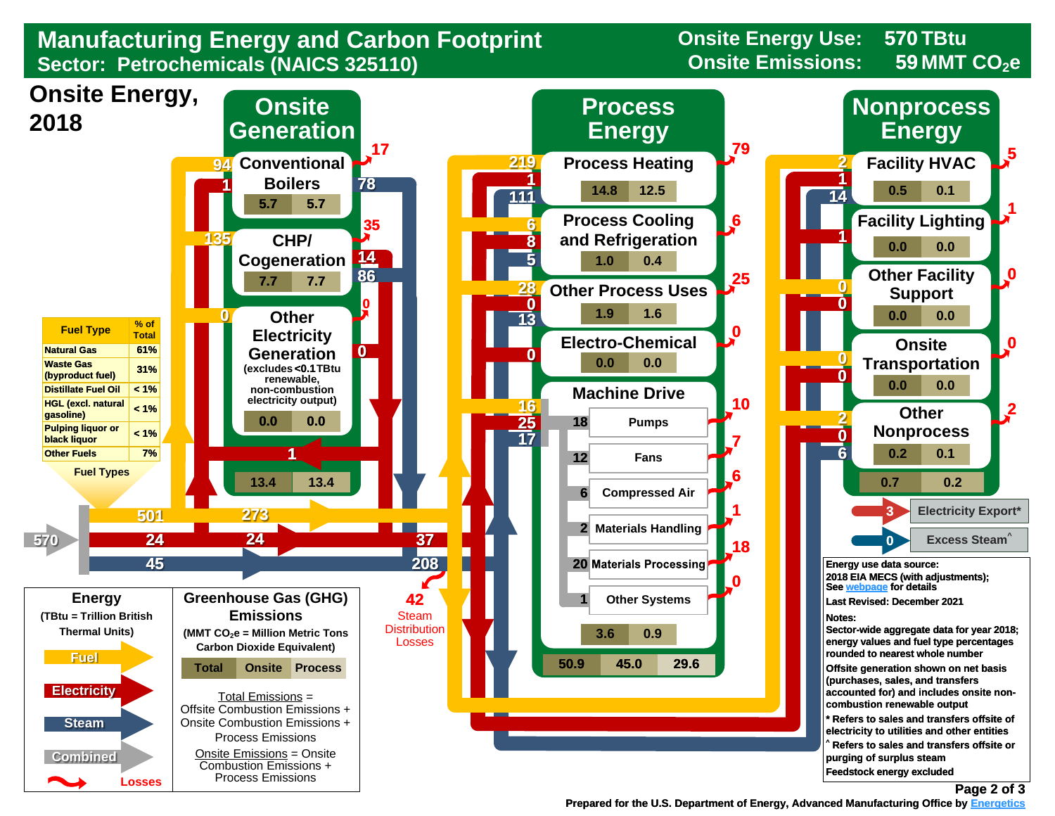